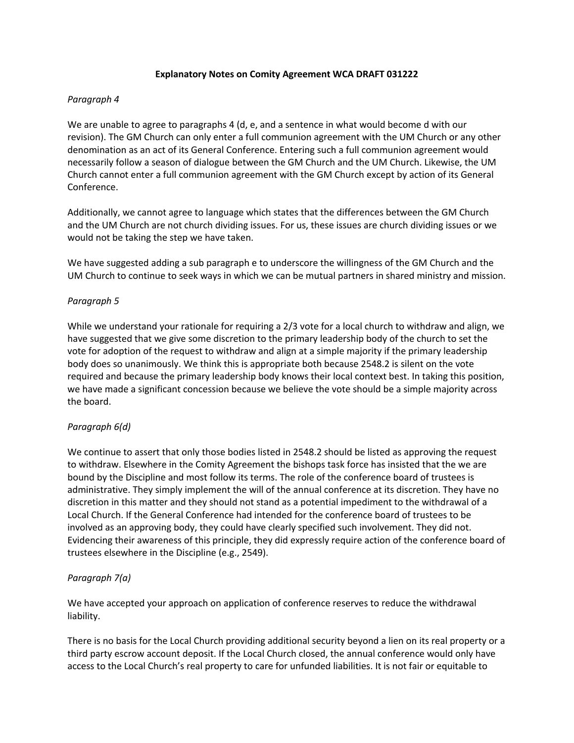## **Explanatory Notes on Comity Agreement WCA DRAFT 031222**

# *Paragraph 4*

We are unable to agree to paragraphs 4 (d, e, and a sentence in what would become d with our revision). The GM Church can only enter a full communion agreement with the UM Church or any other denomination as an act of its General Conference. Entering such a full communion agreement would necessarily follow a season of dialogue between the GM Church and the UM Church. Likewise, the UM Church cannot enter a full communion agreement with the GM Church except by action of its General Conference.

Additionally, we cannot agree to language which states that the differences between the GM Church and the UM Church are not church dividing issues. For us, these issues are church dividing issues or we would not be taking the step we have taken.

We have suggested adding a sub paragraph e to underscore the willingness of the GM Church and the UM Church to continue to seek ways in which we can be mutual partners in shared ministry and mission.

## *Paragraph 5*

While we understand your rationale for requiring a 2/3 vote for a local church to withdraw and align, we have suggested that we give some discretion to the primary leadership body of the church to set the vote for adoption of the request to withdraw and align at a simple majority if the primary leadership body does so unanimously. We think this is appropriate both because 2548.2 is silent on the vote required and because the primary leadership body knows their local context best. In taking this position, we have made a significant concession because we believe the vote should be a simple majority across the board.

## *Paragraph 6(d)*

We continue to assert that only those bodies listed in 2548.2 should be listed as approving the request to withdraw. Elsewhere in the Comity Agreement the bishops task force has insisted that the we are bound by the Discipline and most follow its terms. The role of the conference board of trustees is administrative. They simply implement the will of the annual conference at its discretion. They have no discretion in this matter and they should not stand as a potential impediment to the withdrawal of a Local Church. If the General Conference had intended for the conference board of trustees to be involved as an approving body, they could have clearly specified such involvement. They did not. Evidencing their awareness of this principle, they did expressly require action of the conference board of trustees elsewhere in the Discipline (e.g., 2549).

## *Paragraph 7(a)*

We have accepted your approach on application of conference reserves to reduce the withdrawal liability.

There is no basis for the Local Church providing additional security beyond a lien on its real property or a third party escrow account deposit. If the Local Church closed, the annual conference would only have access to the Local Church's real property to care for unfunded liabilities. It is not fair or equitable to